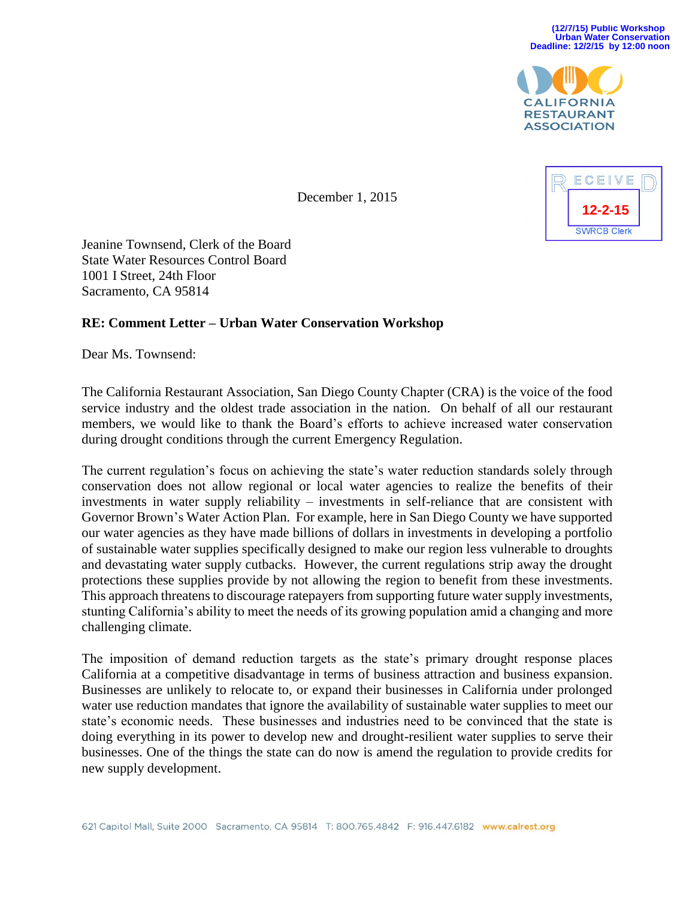

ECEIVE **12-2-15SWRCB Clerk** 

December 1, 2015

Jeanine Townsend, Clerk of the Board State Water Resources Control Board 1001 I Street, 24th Floor Sacramento, CA 95814

## **RE: Comment Letter – Urban Water Conservation Workshop**

Dear Ms. Townsend:

The California Restaurant Association, San Diego County Chapter (CRA) is the voice of the food service industry and the oldest trade association in the nation. On behalf of all our restaurant members, we would like to thank the Board's efforts to achieve increased water conservation during drought conditions through the current Emergency Regulation.

The current regulation's focus on achieving the state's water reduction standards solely through conservation does not allow regional or local water agencies to realize the benefits of their investments in water supply reliability – investments in self-reliance that are consistent with Governor Brown's Water Action Plan. For example, here in San Diego County we have supported our water agencies as they have made billions of dollars in investments in developing a portfolio of sustainable water supplies specifically designed to make our region less vulnerable to droughts and devastating water supply cutbacks. However, the current regulations strip away the drought protections these supplies provide by not allowing the region to benefit from these investments. This approach threatens to discourage ratepayers from supporting future water supply investments, stunting California's ability to meet the needs of its growing population amid a changing and more challenging climate.

The imposition of demand reduction targets as the state's primary drought response places California at a competitive disadvantage in terms of business attraction and business expansion. Businesses are unlikely to relocate to, or expand their businesses in California under prolonged water use reduction mandates that ignore the availability of sustainable water supplies to meet our state's economic needs. These businesses and industries need to be convinced that the state is doing everything in its power to develop new and drought-resilient water supplies to serve their businesses. One of the things the state can do now is amend the regulation to provide credits for new supply development.